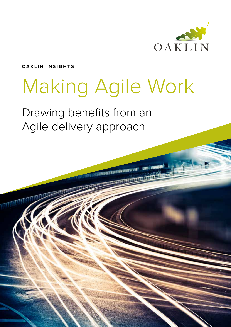

**OAKLIN INSIGHTS**

# Making Agile Work

Drawing benefits from an Agile delivery approach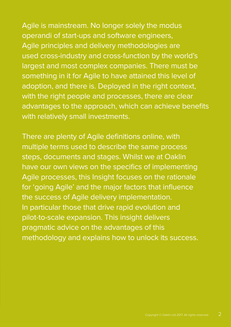Agile is mainstream. No longer solely the modus operandi of start-ups and software engineers, Agile principles and delivery methodologies are used cross-industry and cross-function by the world's largest and most complex companies. There must be something in it for Agile to have attained this level of adoption, and there is. Deployed in the right context, with the right people and processes, there are clear advantages to the approach, which can achieve benefits with relatively small investments.

There are plenty of Agile definitions online, with multiple terms used to describe the same process steps, documents and stages. Whilst we at Oaklin have our own views on the specifics of implementing Agile processes, this Insight focuses on the rationale for 'going Agile' and the major factors that influence the success of Agile delivery implementation. In particular those that drive rapid evolution and pilot-to-scale expansion. This insight delivers pragmatic advice on the advantages of this methodology and explains how to unlock its success.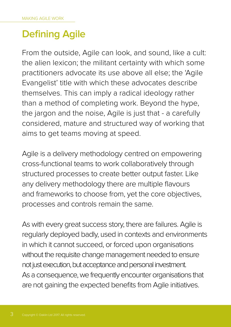### **Defining Agile**

From the outside, Agile can look, and sound, like a cult: the alien lexicon; the militant certainty with which some practitioners advocate its use above all else; the 'Agile Evangelist' title with which these advocates describe themselves. This can imply a radical ideology rather than a method of completing work. Beyond the hype, the jargon and the noise, Agile is just that - a carefully considered, mature and structured way of working that aims to get teams moving at speed.

Agile is a delivery methodology centred on empowering cross-functional teams to work collaboratively through structured processes to create better output faster. Like any delivery methodology there are multiple flavours and frameworks to choose from, yet the core objectives, processes and controls remain the same.

As with every great success story, there are failures. Agile is regularly deployed badly, used in contexts and environments in which it cannot succeed, or forced upon organisations without the requisite change management needed to ensure not just execution, but acceptance and personal investment. As a consequence, we frequently encounter organisations that are not gaining the expected benefits from Agile initiatives.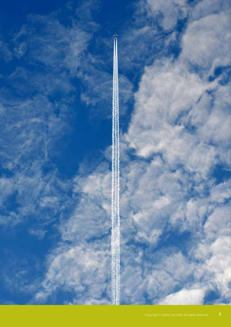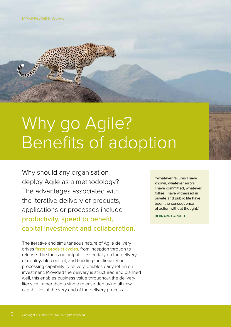## Why go Agile? Benefits of adoption

Why should any organisation deploy Agile as a methodology? The advantages associated with the iterative delivery of products, applications or processes include productivity, speed to benefit, capital investment and collaboration.

The iterative and simultaneous nature of Agile delivery drives faster product cycles, from inception through to release. The focus on output – essentially on the delivery of deployable content, and building functionality or processing capability iteratively, enables early return on investment. Provided the delivery is structured and planned well, this enables business value throughout the delivery lifecycle, rather than a single release deploying all new capabilities at the very end of the delivery process.

"Whatever failures I have known, whatever errors I have committed, whatever follies I have witnessed in private and public life have been the consequence of action without thought."

**BERNARD BARUCH**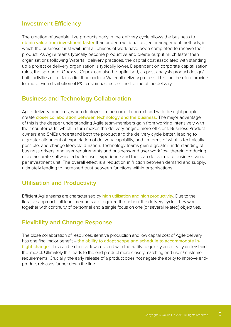### **Investment Efficiency**

The creation of useable, live products early in the delivery cycle allows the business to obtain value from investment faster than under traditional project management methods, in which the business must wait until all phases of work have been completed to receive their product. As Agile teams typically become productive and create output much faster than organisations following Waterfall delivery practices, the capital cost associated with standing up a project or delivery organisation is typically lower. Dependent on corporate capitalisation rules, the spread of Opex vs Capex can also be optimised, as post-analysis product design/ build activities occur far earlier than under a Waterfall delivery process. This can therefore provide for more even distribution of P&L cost impact across the lifetime of the delivery.

### **Business and Technology Collaboration**

Agile delivery practices, when deployed in the correct context and with the right people, create closer collaboration between technology and the business. The major advantage of this is the deeper understanding Agile team-members gain from working intensively with their counterparts, which in turn makes the delivery engine more efficient. Business Product owners and SMEs understand both the product and the delivery cycle better, leading to a greater alignment of expectation of delivery capability, both in terms of what is technically possible, and change lifecycle duration. Technology teams gain a greater understanding of business drivers, end user requirements and business/end user workflow, therein producing more accurate software, a better user experience and thus can deliver more business value per investment unit. The overall effect is a reduction in friction between demand and supply, ultimately leading to increased trust between functions within organisations.

#### **Utilisation and Productivity**

Efficient Agile teams are characterised by high utilisation and high productivity. Due to the iterative approach, all team members are required throughout the delivery cycle. They work together with continuity of personnel and a single focus on one (or several related) objectives.

#### **Flexibility and Change Response**

The close collaboration of resources, iterative production and low capital cost of Agile delivery has one final major benefit – the ability to adapt scope and schedule to accommodate inflight change. This can be done at low cost and with the ability to quickly and clearly understand the impact. Ultimately this leads to the end-product more closely matching end-user / customer requirements. Crucially, the early release of a product does not negate the ability to improve endproduct releases further down the line.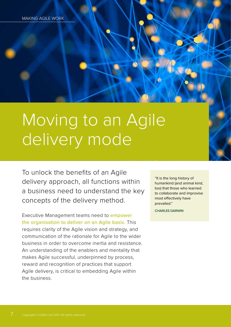### Moving to an Agile delivery mode

To unlock the benefits of an Agile delivery approach, all functions within a business need to understand the key concepts of the delivery method.

Executive Management teams need to empower the organisation to deliver on an Agile basis. This requires clarity of the Agile vision and strategy, and communication of the rationale for Agile to the wider business in order to overcome inertia and resistance. An understanding of the enablers and mentality that makes Agile successful, underpinned by process, reward and recognition of practices that support Agile delivery, is critical to embedding Agile within the business.

"It is the long history of humankind (and animal kind, too) that those who learned to collaborate and improvise most effectively have prevailed."

**CHARLES DARWIN**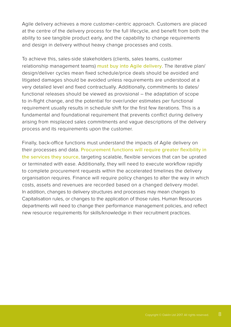Agile delivery achieves a more customer-centric approach. Customers are placed at the centre of the delivery process for the full lifecycle, and benefit from both the ability to see tangible product early, and the capability to change requirements and design in delivery without heavy change processes and costs.

To achieve this, sales-side stakeholders (clients, sales teams, customer relationship management teams) must buy into Agile delivery. The iterative plan/ design/deliver cycles mean fixed schedule/price deals should be avoided and litigated damages should be avoided unless requirements are understood at a very detailed level and fixed contractually. Additionally, commitments to dates/ functional releases should be viewed as provisional – the adaptation of scope to in-flight change, and the potential for over/under estimates per functional requirement usually results in schedule shift for the first few iterations. This is a fundamental and foundational requirement that prevents conflict during delivery arising from misplaced sales commitments and vague descriptions of the delivery process and its requirements upon the customer.

Finally, back-office functions must understand the impacts of Agile delivery on their processes and data. Procurement functions will require greater flexibility in the services they source, targeting scalable, flexible services that can be uprated or terminated with ease. Additionally, they will need to execute workflow rapidly to complete procurement requests within the accelerated timelines the delivery organisation requires. Finance will require policy changes to alter the way in which costs, assets and revenues are recorded based on a changed delivery model. In addition, changes to delivery structures and processes may mean changes to Capitalisation rules, or changes to the application of those rules. Human Resources departments will need to change their performance management policies, and reflect new resource requirements for skills/knowledge in their recruitment practices.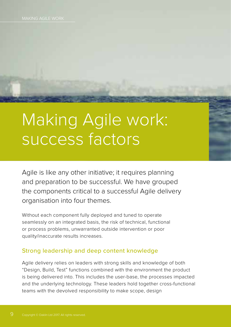### Making Agile work: success factors

Agile is like any other initiative; it requires planning and preparation to be successful. We have grouped the components critical to a successful Agile delivery organisation into four themes.

Without each component fully deployed and tuned to operate seamlessly on an integrated basis, the risk of technical, functional or process problems, unwarranted outside intervention or poor quality/inaccurate results increases.

#### Strong leadership and deep content knowledge

Agile delivery relies on leaders with strong skills and knowledge of both "Design, Build, Test" functions combined with the environment the product is being delivered into. This includes the user-base, the processes impacted and the underlying technology. These leaders hold together cross-functional teams with the devolved responsibility to make scope, design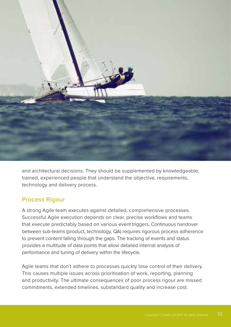

and architectural decisions. They should be supplemented by knowledgeable, trained, experienced people that understand the objective, requirements, technology and delivery process.

### Process Rigour

A strong Agile team executes against detailed, comprehensive processes. Successful Agile execution depends on clear, precise workflows and teams that execute predictably based on various event triggers. Continuous handover between sub-teams (product, technology, QA) requires rigorous process adherence to prevent content falling through the gaps. The tracking of events and status provides a multitude of data points that allow detailed internal analysis of performance and tuning of delivery within the lifecycle.

Agile teams that don't adhere to processes quickly lose control of their delivery. This causes multiple issues across prioritisation of work, reporting, planning and productivity. The ultimate consequences of poor process rigour are missed commitments, extended timelines, substandard quality and increase cost.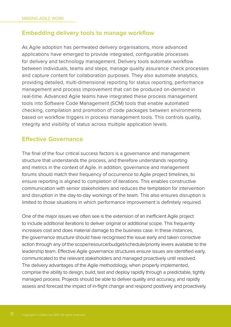#### Embedding delivery tools to manage workflow

As Agile adoption has permeated delivery organisations, more advanced applications have emerged to provide integrated, configurable processes for delivery and technology management. Delivery tools automate workflow between individuals, teams and steps, manage quality assurance check processes and capture content for collaboration purposes. They also automate analytics, providing detailed, multi-dimensional reporting for status reporting, performance management and process improvement that can be produced on-demand in real-time. Advanced Agile teams have integrated these process management tools into Software Code Management (SCM) tools that enable automated checking, compilation and promotion of code packages between environments based on workflow triggers in process management tools. This controls quality, integrity and visibility of status across multiple application levels.

### Effective Governance

The final of the four critical success factors is a governance and management structure that understands the process, and therefore understands reporting and metrics in the context of Agile. In addition, governance and management forums should match their frequency of occurrence to Agile project timelines, to ensure reporting is aligned to completion of iterations. This enables constructive communication with senior stakeholders and reduces the temptation for intervention and disruption in the day-to-day workings of the team. This also ensures disruption is limited to those situations in which performance improvement is definitely required.

One of the major issues we often see is the extension of an inefficient Agile project to include additional iterations to deliver original or additional scope. This frequently increases cost and does material damage to the business case. In these instances, the governance structure should have recognised the issue early and taken corrective action through any of the scope/resource/budget/schedule/priority levers available to the leadership team. Effective Agile governance structures ensure issues are identified early, communicated to the relevant stakeholders and managed proactively until resolved. The delivery advantages of the Agile methodology, when properly implemented, comprise the ability to design, build, test and deploy rapidly through a predictable, tightly managed process. Projects should be able to deliver quality and accuracy, and rapidly assess and forecast the impact of in-flight change and respond positively and proactively.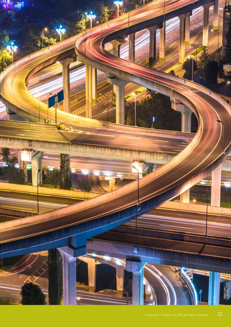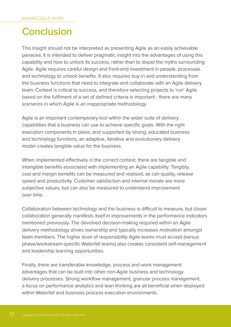### **Conclusion**

This Insight should not be interpreted as presenting Agile as an easily achievable panacea. It is intended to deliver pragmatic insight into the advantages of using this capability and how to unlock its success, rather than to dispel the myths surrounding Agile. Agile requires careful design and front-end investment in people, processes and technology to unlock benefits. It also requires buy-in and understanding from the business functions that need to integrate and collaborate with an Agile delivery team. Context is critical to success, and therefore selecting projects to 'run' Agile based on the fulfilment of a set of defined criteria is important - there are many scenarios in which Agile is an inappropriate methodology.

Agile is an important contemporary tool within the wider suite of delivery capabilities that a business can use to achieve specific goals. With the right execution components in place, and supported by strong, educated business and technology functions, an adaptive, iterative and evolutionary delivery model creates tangible value for the business.

When implemented effectively in the correct context, there are tangible and intangible benefits associated with implementing an Agile capability. Tangibly, cost and margin benefits can be measured and realised, as can quality, release speed and productivity. Customer satisfaction and internal morale are more subjective values, but can also be measured to understand improvement over time.

Collaboration between technology and the business is difficult to measure, but closer collaboration generally manifests itself in improvements in the performance indicators mentioned previously. The devolved decision-making required within an Agile delivery methodology drives ownership and typically increases motivation amongst team members. The higher level of responsibility Agile teams must accept (versus phase/workstream-specific Waterfall teams) also creates consistent self-management and leadership learning opportunities.

Finally, there are transferable knowledge, process and work management advantages that can be built into other non-Agile business and technology delivery processes. Strong workflow management, granular process management, a focus on performance analytics and lean thinking are all beneficial when deployed within Waterfall and business process execution environments.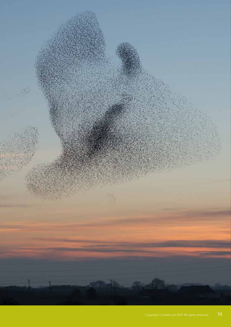